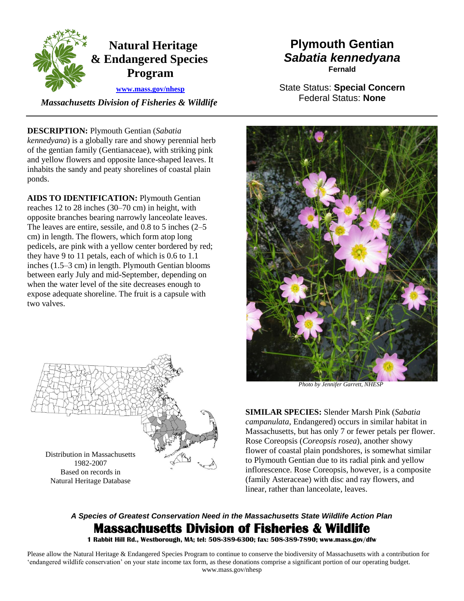

 *Massachusetts Division of Fisheries & Wildlife* 

## **DESCRIPTION:** Plymouth Gentian (*Sabatia*

*kennedyana*) is a globally rare and showy perennial herb of the gentian family (Gentianaceae), with striking pink and yellow flowers and opposite lance-shaped leaves. It inhabits the sandy and peaty shorelines of coastal plain ponds.

**AIDS TO IDENTIFICATION:** Plymouth Gentian reaches 12 to 28 inches (30–70 cm) in height, with opposite branches bearing narrowly lanceolate leaves. The leaves are entire, sessile, and 0.8 to 5 inches (2–5 cm) in length. The flowers, which form atop long pedicels, are pink with a yellow center bordered by red; they have 9 to 11 petals, each of which is 0.6 to 1.1 inches (1.5–3 cm) in length. Plymouth Gentian blooms between early July and mid-September, depending on when the water level of the site decreases enough to expose adequate shoreline. The fruit is a capsule with two valves.



Natural Heritage Database

# **Plymouth Gentian**  *Sabatia kennedyana*  **Fernald**

State Status: **Special Concern**  Federal Status: **None** 



*Photo by Jennifer Garrett, NHESP* 

**SIMILAR SPECIES:** Slender Marsh Pink (*Sabatia campanulata*, Endangered) occurs in similar habitat in Massachusetts, but has only 7 or fewer petals per flower. Rose Coreopsis (*Coreopsis rosea*), another showy flower of coastal plain pondshores, is somewhat similar to Plymouth Gentian due to its radial pink and yellow inflorescence. Rose Coreopsis, however, is a composite (family Asteraceae) with disc and ray flowers, and linear, rather than lanceolate, leaves.

# *A Species of Greatest Conservation Need in the Massachusetts State Wildlife Action Plan*  **Massachusetts Division of Fisheries & Wildlife**

 **1 Rabbit Hill Rd., Westborough, MA; tel: 508-389-6300; fax: 508-389-7890; www.mass.gov/dfw** 

 Please allow the Natural Heritage & Endangered Species Program to continue to conserve the biodiversity of Massachusetts with a contribution for 'endangered wildlife conservation' on your state income tax form, as these donations comprise a significant portion of our operating budget. www.mass.gov/nhesp